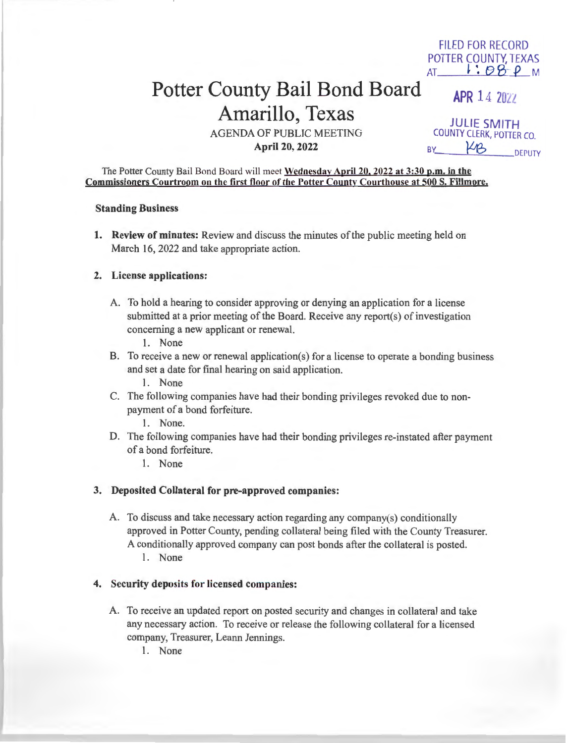# Potter County Bail Bond Board Amarillo, Texas

AGENDA OF PUBLIC MEETING **April 20, 2022** 

JULIE **SMITH**  COUNTY CLERK, POTTER CO.<br>BY \_\_\_\_\_\_\_<del>Y</del>12 \_\_\_\_\_\_\_\_\_DEPUTY

**APR 14 2027** 

FILED FOR RECORD POTTER COUNTY, TEXAS  $AT$  :  $98P$  M

The Potter County Bail Bond Board will meet **Wednesday April 20, 2022 at 3:30 p.m. in the Commissioners Courtroom on the first floor of the Potter County Courthouse at 500 S. Fillmore.** 

#### **Standing Business**

**1. Review of minutes:** Review and discuss the minutes of the public meeting held on March 16, 2022 and take appropriate action.

#### **2. License applications:**

- A. To hold a hearing to consider approving or denying an application for a license submitted at a prior meeting of the Board. Receive any report(s) of investigation concerning a new applicant or renewal.
	- 1. None
- B. To receive a new or renewal application(s) for a license to operate a bonding business and set a date for final hearing on said application.
	- 1. None
- C. The following companies have had their bonding privileges revoked due to nonpayment of a bond forfeiture.
	- 1. None.
- D. The following companies have had their bonding privileges re-instated after payment of a bond forfeiture.
	- 1. None

#### **3. Deposited Collateral for pre-approved companies:**

A. To discuss and take necessary action regarding any company(s) conditionally approved in Potter County, pending collateral being filed with the County Treasurer. A conditionally approved company can post bonds after the collateral is posted. 1. None

## **4. Security deposits for licensed companies:**

A. To receive an updated report on posted security and changes in collateral and take any necessary action. To receive or release the following collateral for a licensed company, Treasurer, Leann Jennings.

1. None